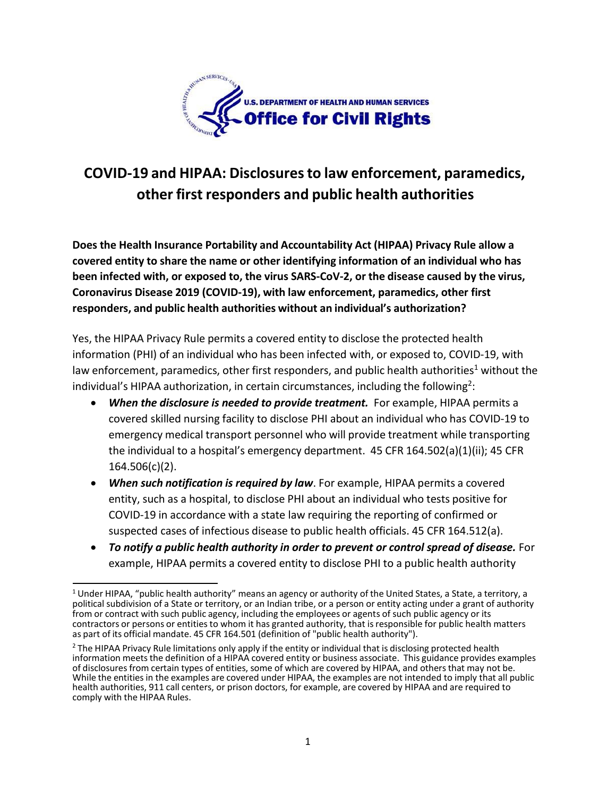

## **COVID-19 and HIPAA: Disclosuresto law enforcement, paramedics, other first responders and public health authorities**

**Does the Health Insurance Portability and Accountability Act (HIPAA) Privacy Rule allow a covered entity to share the name or other identifying information of an individual who has been infected with, or exposed to, the virus SARS-CoV-2, or the disease caused by the virus, Coronavirus Disease 2019 (COVID-19), with law enforcement, paramedics, other first responders, and public health authorities without an individual's authorization?**

Yes, the HIPAA Privacy Rule permits a covered entity to disclose the protected health information (PHI) of an individual who has been infected with, or exposed to, COVID-19, with law enforcement, paramedics, other first responders, and public health authorities<sup>[1](#page-0-0)</sup> without the individual's HIPAA authorization, in certain circumstances, including the following $^2$  $^2$ :

- *When the disclosure is needed to provide treatment.* For example, HIPAA permits a covered skilled nursing facility to disclose PHI about an individual who has COVID-19 to emergency medical transport personnel who will provide treatment while transporting the individual to a hospital's emergency department. 45 CFR 164.502(a)(1)(ii); 45 CFR 164.506(c)(2).
- *When such notification is required by law*. For example, HIPAA permits a covered entity, such as a hospital, to disclose PHI about an individual who tests positive for COVID-19 in accordance with a state law requiring the reporting of confirmed or suspected cases of infectious disease to public health officials. 45 CFR 164.512(a).
- *To notify a public health authority in order to prevent or control spread of disease.* For example, HIPAA permits a covered entity to disclose PHI to a public health authority

<span id="page-0-0"></span> $1$  Under HIPAA, "public health authority" means an agency or authority of the United States, a State, a territory, a political subdivision of a State or territory, or an Indian tribe, or a person or entity acting under a grant of authority from or contract with such public agency, including the employees or agents of such public agency or its contractors or persons or entities to whom it has granted authority, that is responsible for public health matters as part of its official mandate. 45 CFR 164.501 (definition of "public health authority").

<span id="page-0-1"></span> $<sup>2</sup>$  The HIPAA Privacy Rule limitations only apply if the entity or individual that is disclosing protected health</sup> information meets the definition of a HIPAA covered entity or business associate. This guidance provides examples of disclosures from certain types of entities, some of which are covered by HIPAA, and others that may not be. While the entitiesin the examples are covered under HIPAA, the examples are not intended to imply that all public health authorities, 911 call centers, or prison doctors, for example, are covered by HIPAA and are required to comply with the HIPAA Rules.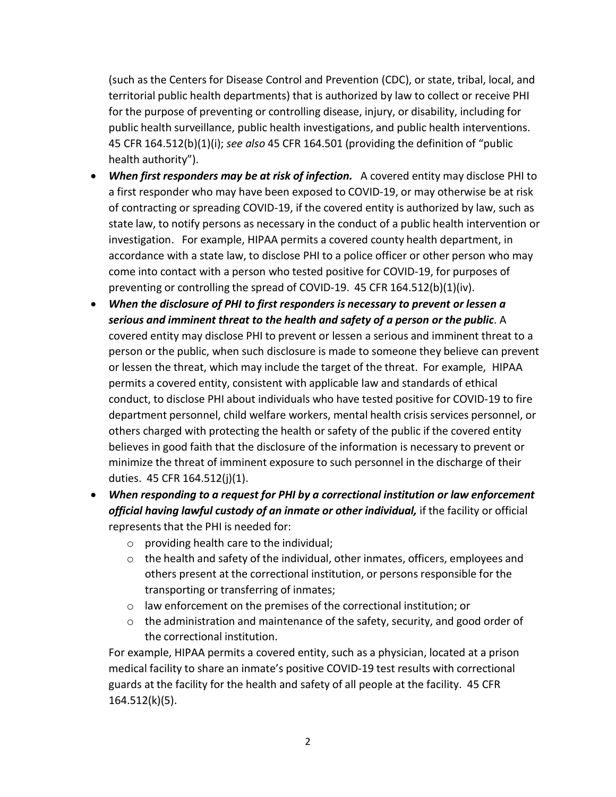(such as the Centers for Disease Control and Prevention (CDC), or state, tribal, local, and territorial public health departments) that is authorized by law to collect or receive PHI for the purpose of preventing or controlling disease, injury, or disability, including for public health surveillance, public health investigations, and public health interventions. 45 CFR 164.512(b)(1)(i); *see also* 45 CFR 164.501 (providing the definition of "public health authority").

- *When first responders may be at risk of infection.* A covered entity may disclose PHI to a first responder who may have been exposed to COVID-19, or may otherwise be at risk of contracting or spreading COVID-19, if the covered entity is authorized by law, such as state law, to notify persons as necessary in the conduct of a public health intervention or investigation. For example, HIPAA permits a covered county health department, in accordance with a state law, to disclose PHI to a police officer or other person who may come into contact with a person who tested positive for COVID-19, for purposes of preventing or controlling the spread of COVID-19. 45 CFR 164.512(b)(1)(iv).
- *When the disclosure of PHI to first responders is necessary to prevent or lessen a serious and imminent threat to the health and safety of a person or the public*. A covered entity may disclose PHI to prevent or lessen a serious and imminent threat to a person or the public, when such disclosure is made to someone they believe can prevent or lessen the threat, which may include the target of the threat. For example, HIPAA permits a covered entity, consistent with applicable law and standards of ethical conduct, to disclose PHI about individuals who have tested positive for COVID-19 to fire department personnel, child welfare workers, mental health crisis services personnel, or others charged with protecting the health or safety of the public if the covered entity believes in good faith that the disclosure of the information is necessary to prevent or minimize the threat of imminent exposure to such personnel in the discharge of their duties. 45 CFR 164.512(j)(1).
- *When responding to a request for PHI by a correctional institution or law enforcement official having lawful custody of an inmate or other individual,* if the facility or official represents that the PHI is needed for:
	- o providing health care to the individual;
	- o the health and safety of the individual, other inmates, officers, employees and others present at the correctional institution, or persons responsible for the transporting or transferring of inmates;
	- o law enforcement on the premises of the correctional institution; or
	- $\circ$  the administration and maintenance of the safety, security, and good order of the correctional institution.

For example, HIPAA permits a covered entity, such as a physician, located at a prison medical facility to share an inmate's positive COVID-19 test results with correctional guards at the facility for the health and safety of all people at the facility. 45 CFR 164.512(k)(5).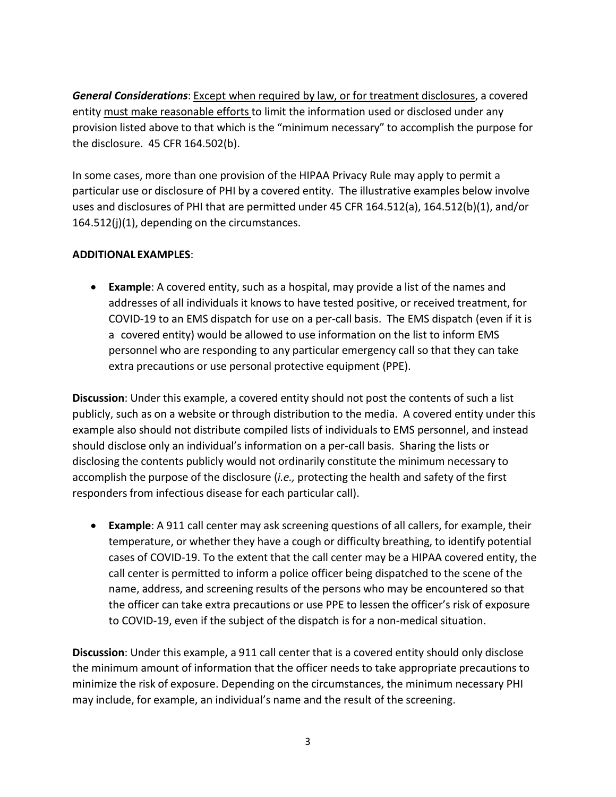*General Considerations*: Except when required by law, or for treatment disclosures, a covered entity must make reasonable efforts to limit the information used or disclosed under any provision listed above to that which is the "minimum necessary" to accomplish the purpose for the disclosure. 45 CFR 164.502(b).

In some cases, more than one provision of the HIPAA Privacy Rule may apply to permit a particular use or disclosure of PHI by a covered entity. The illustrative examples below involve uses and disclosures of PHI that are permitted under 45 CFR 164.512(a), 164.512(b)(1), and/or 164.512(j)(1), depending on the circumstances.

## **ADDITIONAL EXAMPLES**:

 **Example**: A covered entity, such as a hospital, may provide a list of the names and addresses of all individuals it knows to have tested positive, or received treatment, for COVID-19 to an EMS dispatch for use on a per-call basis. The EMS dispatch (even if it is a covered entity) would be allowed to use information on the list to inform EMS personnel who are responding to any particular emergency call so that they can take extra precautions or use personal protective equipment (PPE).

**Discussion**: Under this example, a covered entity should not post the contents of such a list publicly, such as on a website or through distribution to the media. A covered entity under this example also should not distribute compiled lists of individuals to EMS personnel, and instead should disclose only an individual's information on a per-call basis. Sharing the lists or disclosing the contents publicly would not ordinarily constitute the minimum necessary to accomplish the purpose of the disclosure (*i.e.,* protecting the health and safety of the first responders from infectious disease for each particular call).

 **Example**: A 911 call center may ask screening questions of all callers, for example, their temperature, or whether they have a cough or difficulty breathing, to identify potential cases of COVID-19. To the extent that the call center may be a HIPAA covered entity, the call center is permitted to inform a police officer being dispatched to the scene of the name, address, and screening results of the persons who may be encountered so that the officer can take extra precautions or use PPE to lessen the officer's risk of exposure to COVID-19, even if the subject of the dispatch is for a non-medical situation.

**Discussion**: Under this example, a 911 call center that is a covered entity should only disclose the minimum amount of information that the officer needs to take appropriate precautions to minimize the risk of exposure. Depending on the circumstances, the minimum necessary PHI may include, for example, an individual's name and the result of the screening.